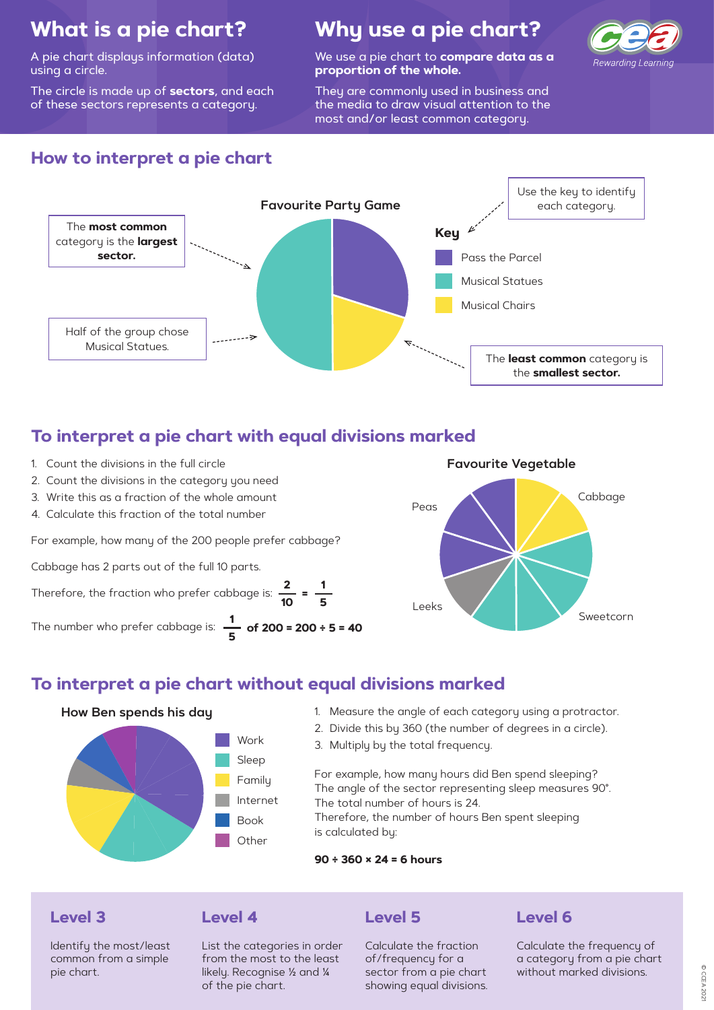

# **What is a pie chart?**

A pie chart displays information (data) using a circle.

The circle is made up of **sectors**, and each of these sectors represents a category.

# **Why use a pie chart?**

We use a pie chart to **compare data as a proportion of the whole.** 

They are commonly used in business and the media to draw visual attention to the most and/or least common category.



- 1. Count the divisions in the full circle
- 2. Count the divisions in the category you need
- 3. Write this as a fraction of the whole amount
- 4. Calculate this fraction of the total number

### **To interpret a pie chart with equal divisions marked**

### **How to interpret a pie chart**

Therefore, the fraction who prefer cabbage is:  $\frac{2}{10}$  =  $\frac{1}{5}$ **=**

For example, how many of the 200 people prefer cabbage?

Cabbage has 2 parts out of the full 10 parts.



### **To interpret a pie chart without equal divisions marked**

- 1. Measure the angle of each category using a protractor.
- 2. Divide this by 360 (the number of degrees in a circle).
- 3. Multiply by the total frequency.

For example, how many hours did Ben spend sleeping? The angle of the sector representing sleep measures 90°. The total number of hours is 24. Therefore, the number of hours Ben spent sleeping is calculated by:

**90 ÷ 360 × 24 = 6 hours**

#### **How Ben spends his day**

**of 200 = 200 ÷ 5 = 40** The number who prefer cabbage is: **1 5**



#### **Level 3Level 4**

Identify the most/least common from a simple pie chart.

List the categories in order from the most to the least likely. Recognise ½ and ¼ of the pie chart.

### **Level 5**

Calculate the fraction of/frequency for a sector from a pie chart showing equal divisions.

### **Level 6**

Calculate the frequency of a category from a pie chart without marked divisions.